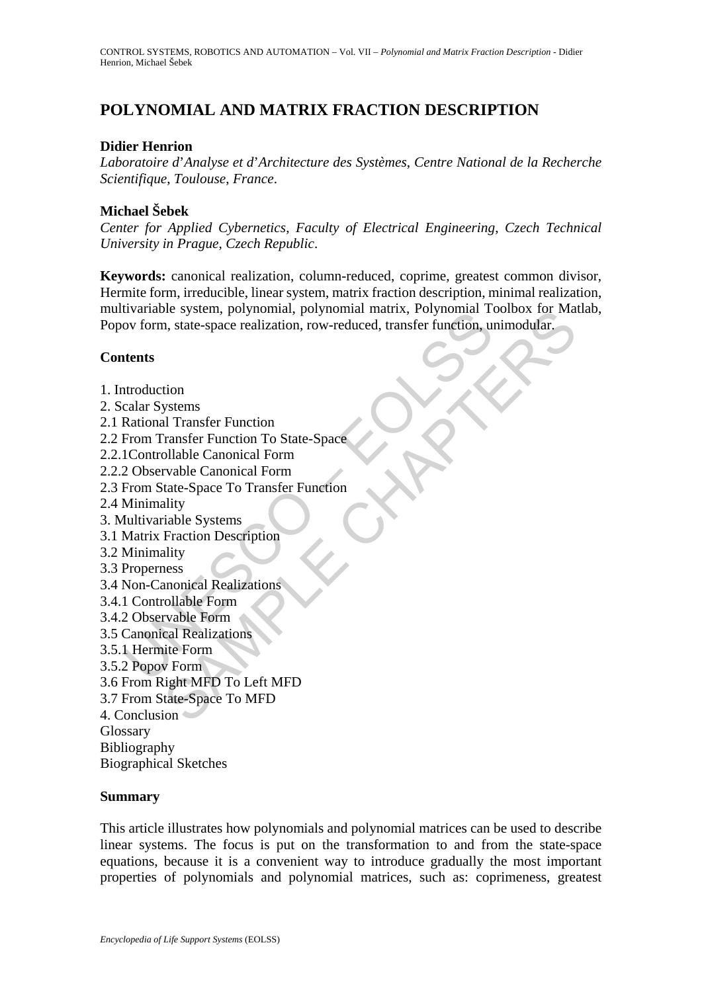# **POLYNOMIAL AND MATRIX FRACTION DESCRIPTION**

#### **Didier Henrion**

*Laboratoire d*'*Analyse et d*'*Architecture des Systèmes*, *Centre National de la Recherche Scientifique*, *Toulouse*, *France*.

#### **Michael Šebek**

*Center for Applied Cybernetics*, *Faculty of Electrical Engineering*, *Czech Technical University in Prague*, *Czech Republic*.

**Keywords:** canonical realization, column-reduced, coprime, greatest common divisor, Hermite form, irreducible, linear system, matrix fraction description, minimal realization, multivariable system, polynomial, polynomial matrix, Polynomial Toolbox for Matlab, Popov form, state-space realization, row-reduced, transfer function, unimodular.

#### **Contents**

It wallable system, polynomial, polynomial matrix, Folynomial To<br>ov form, state-space realization, row-reduced, transfer function, un<br>tents<br>according Rystems<br>Rational Transfer Function To State-Space<br>IControllable Canonica The system, polynomial, polynomial matrix, Polynomial 100100x for Ma<br>
n, state-space realization, row-reduced, transfer function, unimodular.<br>
Transfer Function To State-Space<br>
all Transfer Function<br>
ollable Canonical Form 1. Introduction 2. Scalar Systems 2.1 Rational Transfer Function 2.2 From Transfer Function To State-Space 2.2.1Controllable Canonical Form 2.2.2 Observable Canonical Form 2.3 From State-Space To Transfer Function 2.4 Minimality 3. Multivariable Systems 3.1 Matrix Fraction Description 3.2 Minimality 3.3 Properness 3.4 Non-Canonical Realizations 3.4.1 Controllable Form 3.4.2 Observable Form 3.5 Canonical Realizations 3.5.1 Hermite Form 3.5.2 Popov Form 3.6 From Right MFD To Left MFD 3.7 From State-Space To MFD 4. Conclusion **Glossary** Bibliography Biographical Sketches **Summary** 

This article illustrates how polynomials and polynomial matrices can be used to describe linear systems. The focus is put on the transformation to and from the state-space equations, because it is a convenient way to introduce gradually the most important properties of polynomials and polynomial matrices, such as: coprimeness, greatest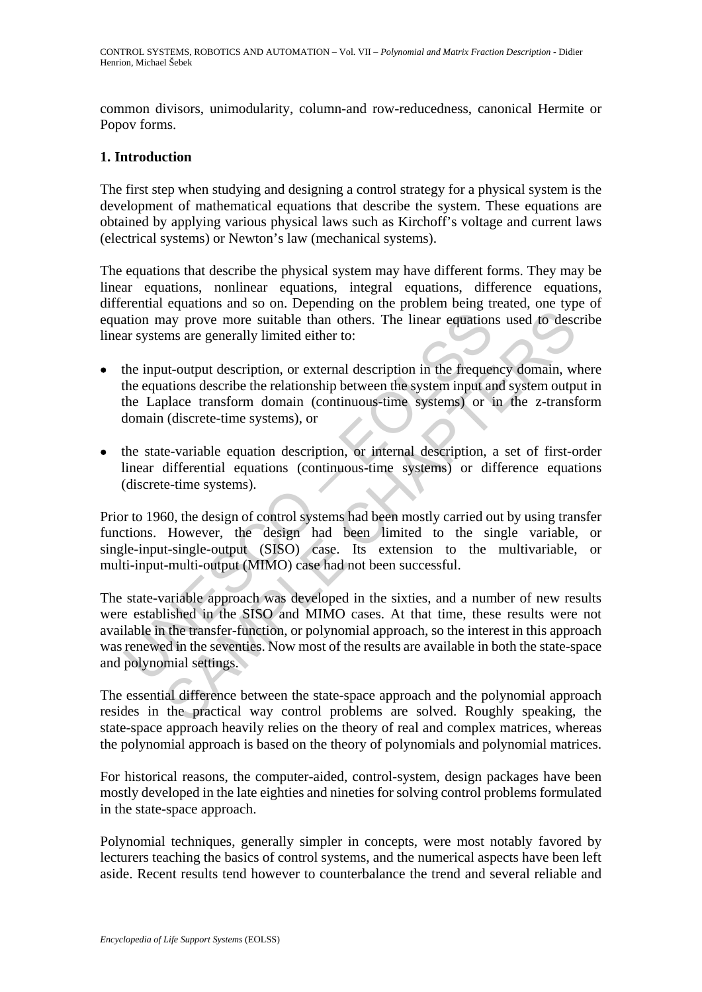common divisors, unimodularity, column-and row-reducedness, canonical Hermite or Popov forms.

#### **1. Introduction**

The first step when studying and designing a control strategy for a physical system is the development of mathematical equations that describe the system. These equations are obtained by applying various physical laws such as Kirchoff's voltage and current laws (electrical systems) or Newton's law (mechanical systems).

The equations that describe the physical system may have different forms. They may be linear equations, nonlinear equations, integral equations, difference equations, differential equations and so on. Depending on the problem being treated, one type of equation may prove more suitable than others. The linear equations used to describe linear systems are generally limited either to:

- the input-output description, or external description in the frequency domain, where the equations describe the relationship between the system input and system output in the Laplace transform domain (continuous-time systems) or in the z-transform domain (discrete-time systems), or
- the state-variable equation description, or internal description, a set of first-order linear differential equations (continuous-time systems) or difference equations (discrete-time systems).

Prior to 1960, the design of control systems had been mostly carried out by using transfer functions. However, the design had been limited to the single variable, or single-input-single-output (SISO) case. Its extension to the multivariable, or multi-input-multi-output (MIMO) case had not been successful.

ation may prove more suitable than others. The linear equation<br>ar systems are generally limited either to:<br>the input-output description, or external description in the frequent<br>the equations describe the relationship betwe may prove more suitable than others. The linear equations used to descend and prove more suitable than others. The linear equations used to descend and any prove more suitable either to:<br>
ut-output description, or external The state-variable approach was developed in the sixties, and a number of new results were established in the SISO and MIMO cases. At that time, these results were not available in the transfer-function, or polynomial approach, so the interest in this approach was renewed in the seventies. Now most of the results are available in both the state-space and polynomial settings.

The essential difference between the state-space approach and the polynomial approach resides in the practical way control problems are solved. Roughly speaking, the state-space approach heavily relies on the theory of real and complex matrices, whereas the polynomial approach is based on the theory of polynomials and polynomial matrices.

For historical reasons, the computer-aided, control-system, design packages have been mostly developed in the late eighties and nineties for solving control problems formulated in the state-space approach.

Polynomial techniques, generally simpler in concepts, were most notably favored by lecturers teaching the basics of control systems, and the numerical aspects have been left aside. Recent results tend however to counterbalance the trend and several reliable and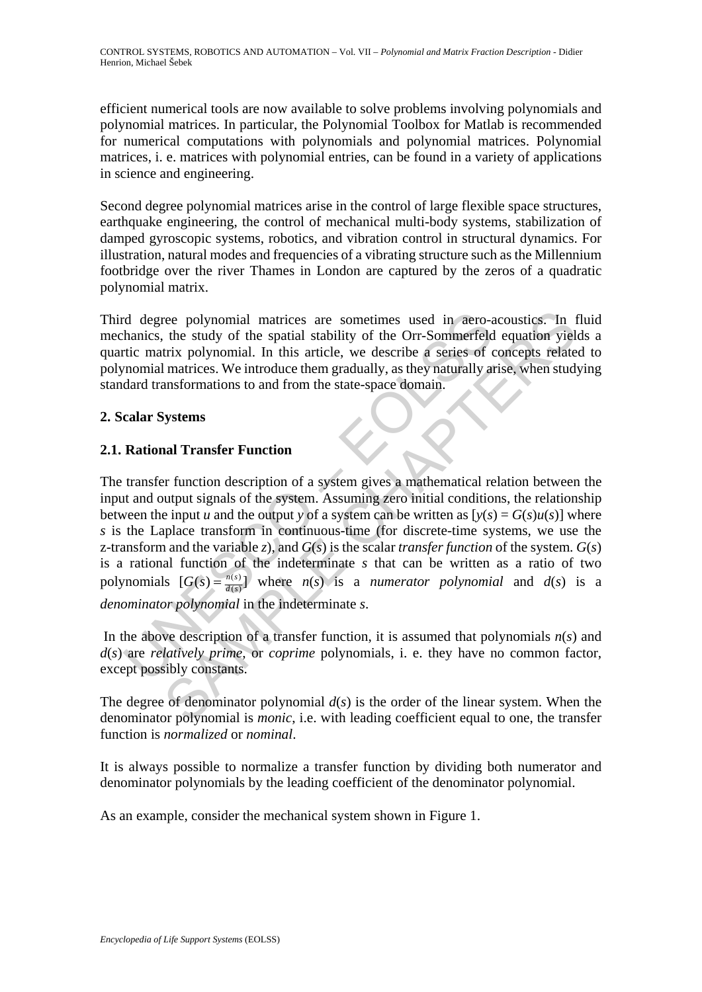efficient numerical tools are now available to solve problems involving polynomials and polynomial matrices. In particular, the Polynomial Toolbox for Matlab is recommended for numerical computations with polynomials and polynomial matrices. Polynomial matrices, i. e. matrices with polynomial entries, can be found in a variety of applications in science and engineering.

Second degree polynomial matrices arise in the control of large flexible space structures, earthquake engineering, the control of mechanical multi-body systems, stabilization of damped gyroscopic systems, robotics, and vibration control in structural dynamics. For illustration, natural modes and frequencies of a vibrating structure such as the Millennium footbridge over the river Thames in London are captured by the zeros of a quadratic polynomial matrix.

Third degree polynomial matrices are sometimes used in aero-acoustics. In fluid mechanics, the study of the spatial stability of the Orr-Sommerfeld equation yields a quartic matrix polynomial. In this article, we describe a series of concepts related to polynomial matrices. We introduce them gradually, as they naturally arise, when studying standard transformations to and from the state-space domain.

## **2. Scalar Systems**

## **2.1. Rational Transfer Function**

d degree polynomial matrices are sometimes used in aero-<br>hanics, the study of the spatial stability of the Orr-Sommerfeld<br>tic matrix polynomial. In this article, we describe a series of c<br>nominal matrices. We introduce th ree polynomial matrices are sometimes used in aero-acoustics. In the study of the spatial stability of the Orr-Sommerfeld equation yiel<br>trix polynomial. In this article, we describe a series of concepts relate<br>trix polyno The transfer function description of a system gives a mathematical relation between the input and output signals of the system. Assuming zero initial conditions, the relationship between the input *u* and the output *y* of a system can be written as  $[v(s) = G(s)u(s)]$  where *s* is the Laplace transform in continuous-time (for discrete-time systems, we use the z-transform and the variable *z*), and  $G(s)$  is the scalar *transfer function* of the system.  $G(s)$ is a rational function of the indeterminate *s* that can be written as a ratio of two polynomials  $[G(s) = \frac{n(s)}{d(s)}]$  where  $n(s)$  is a *numerator polynomial* and  $d(s)$  is a *denominator polynomial* in the indeterminate *s*.

In the above description of a transfer function, it is assumed that polynomials  $n(s)$  and *d*(*s*) are *relatively prime*, or *coprime* polynomials, i. e. they have no common factor, except possibly constants.

The degree of denominator polynomial  $d(s)$  is the order of the linear system. When the denominator polynomial is *monic*, i.e. with leading coefficient equal to one, the transfer function is *normalized* or *nominal*.

It is always possible to normalize a transfer function by dividing both numerator and denominator polynomials by the leading coefficient of the denominator polynomial.

As an example, consider the mechanical system shown in Figure 1.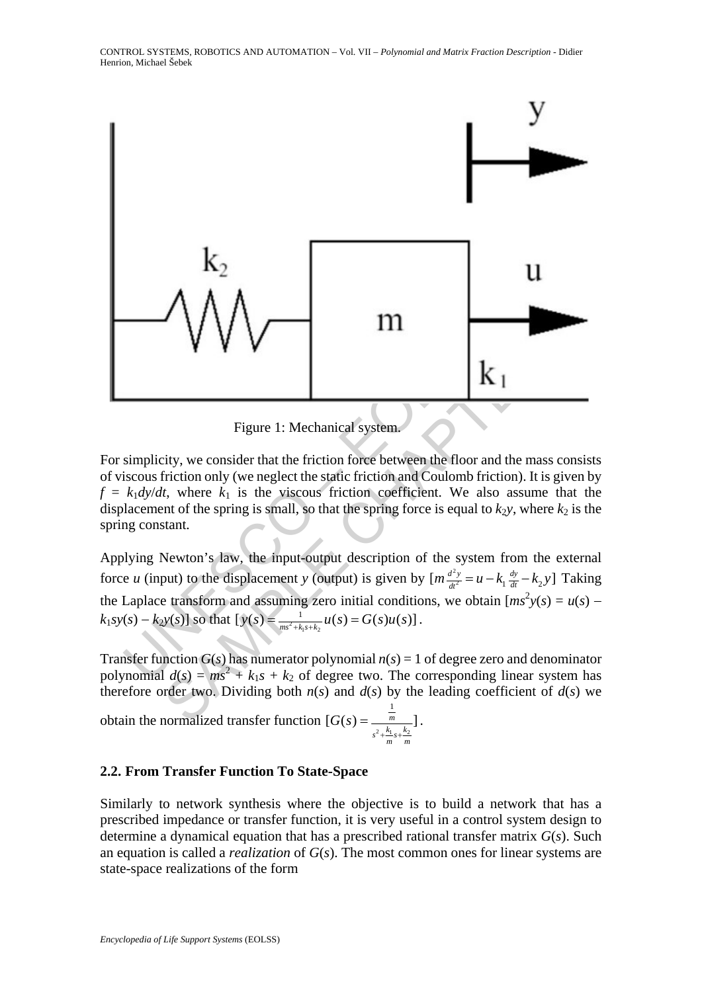

Figure 1: Mechanical system.

For simplicity, we consider that the friction force between the floor and the mass consists of viscous friction only (we neglect the static friction and Coulomb friction). It is given by  $f = k_1 dy/dt$ , where  $k_1$  is the viscous friction coefficient. We also assume that the displacement of the spring is small, so that the spring force is equal to  $k_2y$ , where  $k_2$  is the spring constant.

Applying Newton's law, the input-output description of the system from the external force *u* (input) to the displacement *y* (output) is given by  $[m \frac{d^2y}{dt^2} = u - k_1 \frac{dy}{dt} - k_2 y]$  Taking the Laplace transform and assuming zero initial conditions, we obtain  $[ms^2y(s) = u(s)]$  $k_1 s y(s) - k_2 y(s)$  so that  $[y(s) = \frac{1}{ms^2 + k_1 s + k_2} u(s) = G(s) u(s)$ .

Transfer function  $G(s)$  has numerator polynomial  $n(s) = 1$  of degree zero and denominator polynomial  $d(s) = ms^2 + k_1s + k_2$  of degree two. The corresponding linear system has therefore order two. Dividing both  $n(s)$  and  $d(s)$  by the leading coefficient of  $d(s)$  we obtain the normalized transfer function  $[G(s) = \frac{m}{a^2 + k_1}$ 1  $[G(s) = \frac{m}{s}$  $s^2 + \frac{k_1}{m}s + \frac{k_2}{m}$ *G s*  $+\frac{1}{2}s+$  $=$  $\frac{m}{1}$ .

### **2.2. From Transfer Function To State-Space**

Similarly to network synthesis where the objective is to build a network that has a prescribed impedance or transfer function, it is very useful in a control system design to determine a dynamical equation that has a prescribed rational transfer matrix *G*(*s*). Such an equation is called a *realization* of *G*(*s*). The most common ones for linear systems are state-space realizations of the form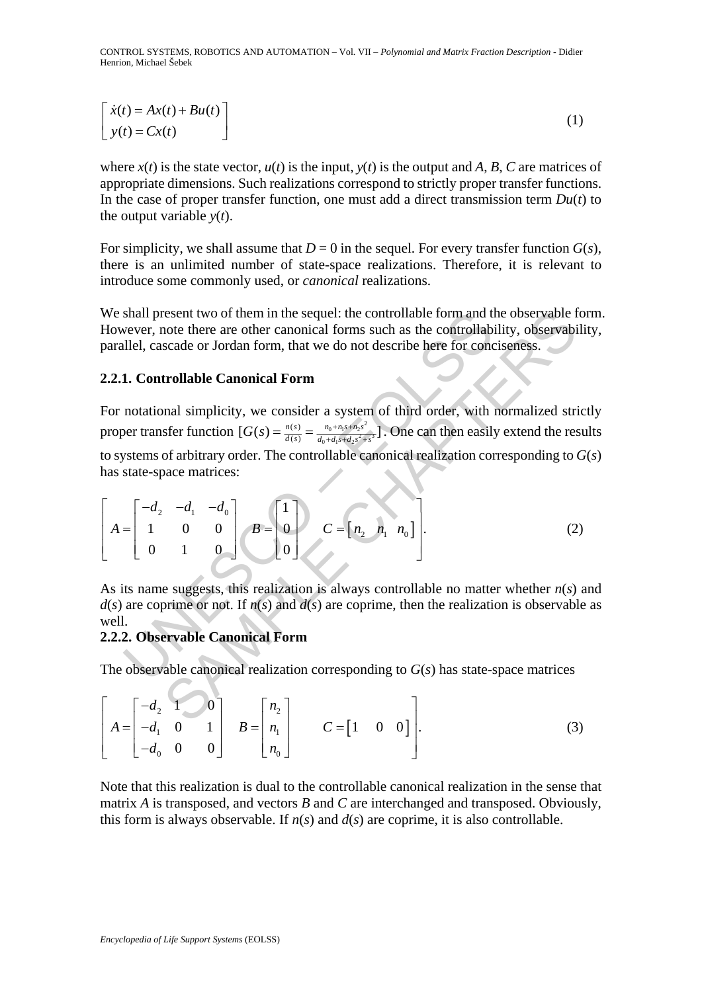CONTROL SYSTEMS, ROBOTICS AND AUTOMATION – Vol. VII – *Polynomial and Matrix Fraction Description* - Didier Henrion, Michael Šebek

$$
\begin{bmatrix}\n\dot{x}(t) = Ax(t) + Bu(t) \\
y(t) = Cx(t)\n\end{bmatrix}
$$
\n(1)

where  $x(t)$  is the state vector,  $u(t)$  is the input,  $y(t)$  is the output and *A*, *B*, *C* are matrices of appropriate dimensions. Such realizations correspond to strictly proper transfer functions. In the case of proper transfer function, one must add a direct transmission term  $Du(t)$  to the output variable  $y(t)$ .

For simplicity, we shall assume that  $D = 0$  in the sequel. For every transfer function  $G(s)$ , there is an unlimited number of state-space realizations. Therefore, it is relevant to introduce some commonly used, or *canonical* realizations.

We shall present two of them in the sequel: the controllable form and the observable form. However, note there are other canonical forms such as the controllability, observability, parallel, cascade or Jordan form, that we do not describe here for conciseness.

#### **2.2.1. Controllable Canonical Form**

shall present two of them in the sequel: the controllable form and the<br>vever, note there are other canonical forms such as the controllab<br>llel, cascade or Jordan form, that we do not describe here for controllable, cascad resent two of them in the sequel: the controllable form and the observable foote there are other canonical forms such as the controllability, observable scade or Jordan form, that we do not describe here for conciseness.<br> For notational simplicity, we consider a system of third order, with normalized strictly proper transfer function  $[G(s) = \frac{n(s)}{d(s)} = \frac{n_0 + n_1 s + n_2 s^2}{d_0 + d_1 s + d_2 s^2 + s^3})$  $[G(s) = \frac{n(s)}{d(s)} = \frac{n_0 + n_1 s + n_2 s^2}{d_0 + d_1 s + d_2 s^2 + s^3}$ . One can then easily extend the results to systems of arbitrary order. The controllable canonical realization corresponding to *G*(*s*) has state-space matrices:

$$
\begin{bmatrix} -d_2 & -d_1 & -d_0 \\ 1 & 0 & 0 \\ 0 & 1 & 0 \end{bmatrix} \quad B = \begin{bmatrix} 1 \\ 0 \\ 0 \end{bmatrix} \quad C = \begin{bmatrix} n_2 & n_1 & n_0 \end{bmatrix} . \tag{2}
$$

As its name suggests, this realization is always controllable no matter whether *n*(*s*) and  $d(s)$  are coprime or not. If  $n(s)$  and  $d(s)$  are coprime, then the realization is observable as well.

#### **2.2.2. Observable Canonical Form**

The observable canonical realization corresponding to *G*(*s*) has state-space matrices

$$
\begin{bmatrix} -d_2 & 1 & 0 \\ -d_1 & 0 & 1 \\ -d_0 & 0 & 0 \end{bmatrix} \quad B = \begin{bmatrix} n_2 \\ n_1 \\ n_0 \end{bmatrix} \quad C = \begin{bmatrix} 1 & 0 & 0 \end{bmatrix}.
$$
 (3)

Note that this realization is dual to the controllable canonical realization in the sense that matrix *A* is transposed, and vectors *B* and *C* are interchanged and transposed. Obviously, this form is always observable. If  $n(s)$  and  $d(s)$  are coprime, it is also controllable.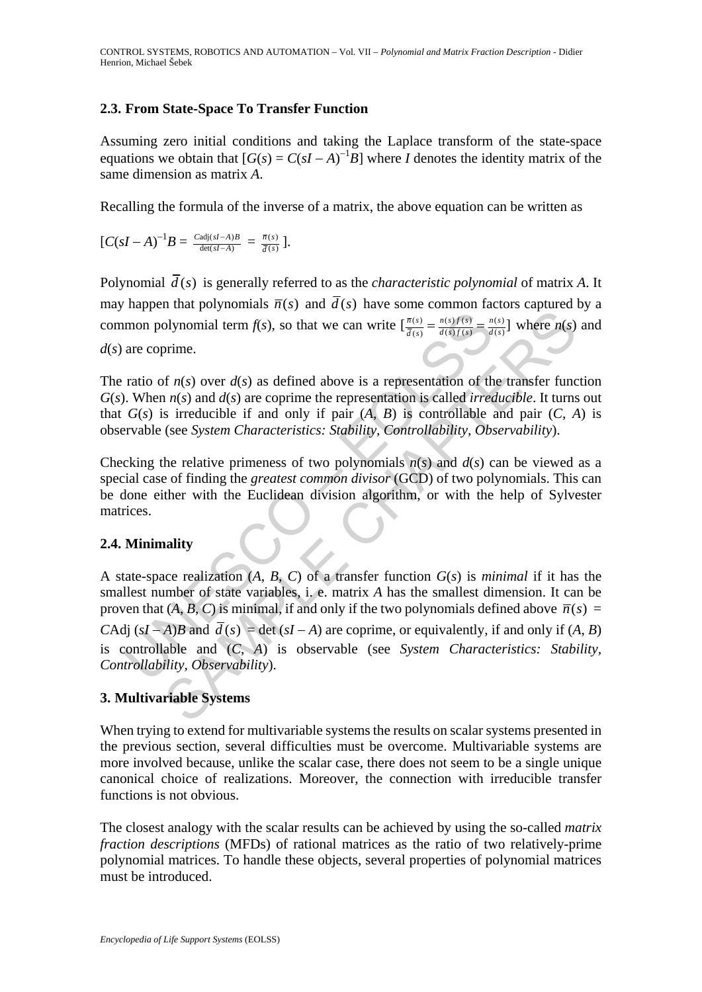## **2.3. From State-Space To Transfer Function**

Assuming zero initial conditions and taking the Laplace transform of the state-space equations we obtain that  $[G(s) = C(sI - A)^{-1}B]$  where *I* denotes the identity matrix of the same dimension as matrix *A*.

Recalling the formula of the inverse of a matrix, the above equation can be written as

$$
[C(sI-A)^{-1}B=\tfrac{Ca\textrm{d}j(sI-A)B}{\textrm{det}(sI-A)}=\tfrac{\overline{n}(s)}{\overline{d}(s)}].
$$

Polynomial  $\overline{d}(s)$  is generally referred to as the *characteristic polynomial* of matrix A. It may happen that polynomials  $\overline{n}(s)$  and  $\overline{d}(s)$  have some common factors captured by a common polynomial term *f*(*s*), so that we can write  $\left[\frac{\bar{n}(s)}{\bar{d}(s)} = \frac{n(s)f(s)}{d(s)f(s)} = \frac{n(s)}{d(s)}\right]$  where *n*(*s*) and *d*(*s*) are coprime.

The ratio of  $n(s)$  over  $d(s)$  as defined above is a representation of the transfer function *G*(*s*). When *n*(*s*) and *d*(*s*) are coprime the representation is called *irreducible*. It turns out that  $G(s)$  is irreducible if and only if pair  $(A, B)$  is controllable and pair  $(C, A)$  is observable (see *System Characteristics: Stability, Controllability, Observability*).

Checking the relative primeness of two polynomials  $n(s)$  and  $d(s)$  can be viewed as a special case of finding the *greatest common divisor* (GCD) of two polynomials. This can be done either with the Euclidean division algorithm, or with the help of Sylvester matrices.

### **2.4. Minimality**

mon polynomial term  $f(s)$ , so that we can write  $\left[\frac{\pi(s)}{d(s)} = \frac{\pi(s)f(s)}{d(s)f(s)}\right] = \frac{\pi}{d}$ <br>are coprime.<br>ratio of  $n(s)$  over  $d(s)$  as defined above is a representation of th<br>. When  $n(s)$  and  $d(s)$  are coprime the representat and the set of the set of the control and  $f(x)$  and  $f(x) = \frac{\pi(x)}{d(\theta)} \frac{\pi(x)}{d(\theta)}$  where  $h(s)$ <br>orinne.<br>orinne.<br>orinne.<br>orinne.<br>orinne and  $f(s)$  are contribute the representation of the transfer function  $f(s)$  and  $f(s)$  are A state-space realization (*A*, *B*, *C*) of a transfer function *G*(*s*) is *minimal* if it has the smallest number of state variables, i. e. matrix *A* has the smallest dimension. It can be proven that  $(A, B, C)$  is minimal, if and only if the two polynomials defined above  $\overline{n}(s)$  = *C*Adj  $(sI - A)B$  and  $\overline{d}(s) = \det(sI - A)$  are coprime, or equivalently, if and only if  $(A, B)$ is controllable and (*C*, *A*) is observable (see *System Characteristics: Stability, Controllability, Observability*).

# **3. Multivariable Systems**

When trying to extend for multivariable systems the results on scalar systems presented in the previous section, several difficulties must be overcome. Multivariable systems are more involved because, unlike the scalar case, there does not seem to be a single unique canonical choice of realizations. Moreover, the connection with irreducible transfer functions is not obvious.

The closest analogy with the scalar results can be achieved by using the so-called *matrix fraction descriptions* (MFDs) of rational matrices as the ratio of two relatively-prime polynomial matrices. To handle these objects, several properties of polynomial matrices must be introduced.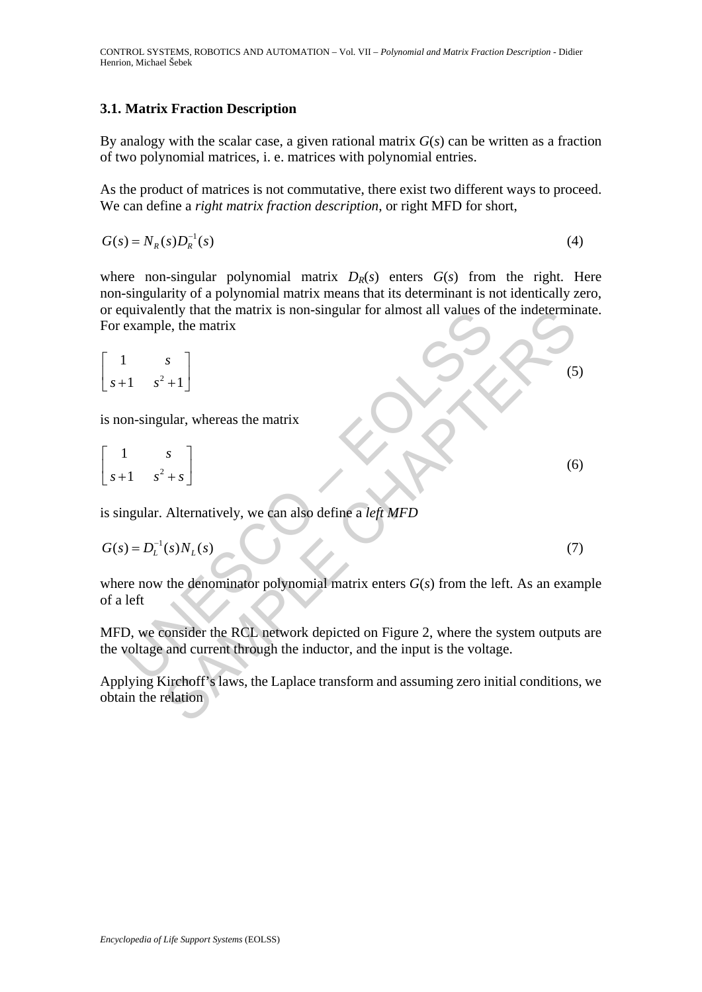### **3.1. Matrix Fraction Description**

By analogy with the scalar case, a given rational matrix *G*(*s*) can be written as a fraction of two polynomial matrices, i. e. matrices with polynomial entries.

As the product of matrices is not commutative, there exist two different ways to proceed. We can define a *right matrix fraction description*, or right MFD for short,

$$
G(s) = NR(s)DR-1(s)
$$
\n
$$
(4)
$$

where non-singular polynomial matrix  $D_R(s)$  enters  $G(s)$  from the right. Here non-singularity of a polynomial matrix means that its determinant is not identically zero, or equivalently that the matrix is non-singular for almost all values of the indeterminate. For example, the matrix

or equivalently that the matrix is non-singular for almost all values of the indetermina  
\nFor example, the matrix  
\n
$$
\begin{bmatrix}\n1 & s \\
s+1 & s^2+1\n\end{bmatrix}
$$
\n(s)  
\nis non-singular, whereas the matrix  
\n $\begin{bmatrix}\n1 & s \\
s+1 & s^2+s\n\end{bmatrix}$ \n(s)  
\nis singular. Alternatively, we can also define a *left MFD*  
\n $G(s) = D_L^{-1}(s)N_L(s)$ \n(7)  
\nwhere now the denominator polynomial matrix enters  $G(s)$  from the left. As an exam  
\nof a left  
\nMFD, we consider the RCL network depicted on Figure 2, where the system outputs a  
\nthe voltage and current through the inductor, and the input is the voltage.  
\nApplying Kirchoff's laws, the Laplace transform and assuming zero initial conditions,  
\nobtain the relation

$$
\begin{bmatrix} 1 & s \\ s+1 & s^2+s \end{bmatrix}
$$
 (6)

is singular. Alternatively, we can also define a *left MFD* 

$$
G(s) = DL-1(s)NL(s)
$$
\n(7)

where now the denominator polynomial matrix enters  $G(s)$  from the left. As an example of a left

MFD, we consider the RCL network depicted on Figure 2, where the system outputs are the voltage and current through the inductor, and the input is the voltage.

Applying Kirchoff's laws, the Laplace transform and assuming zero initial conditions, we obtain the relation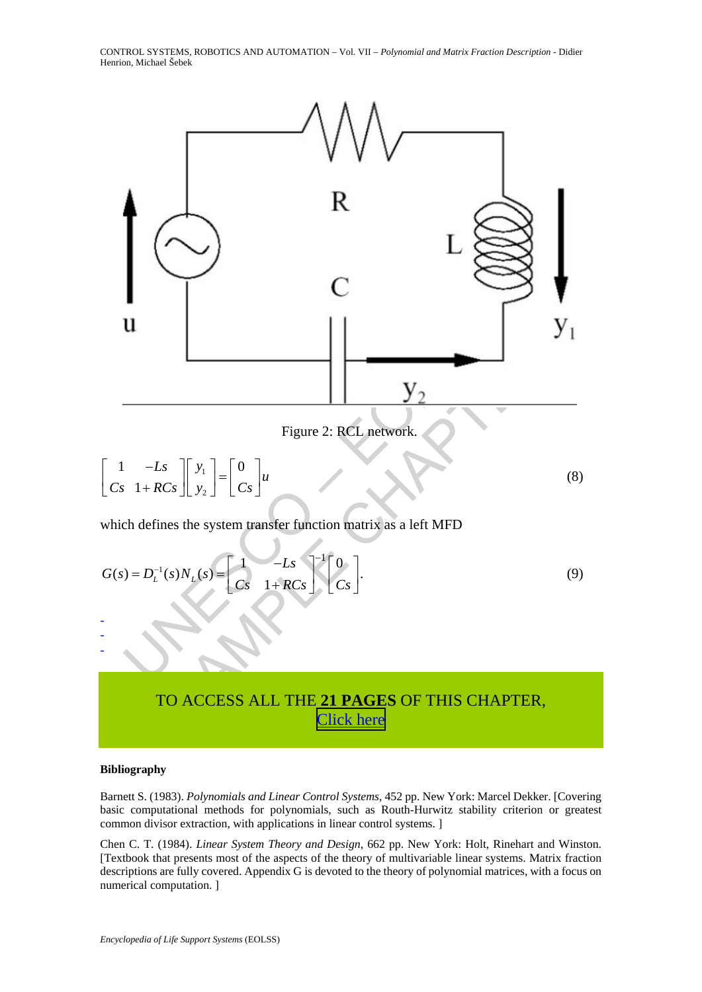CONTROL SYSTEMS, ROBOTICS AND AUTOMATION – Vol. VII – *Polynomial and Matrix Fraction Description* - Didier Henrion, Michael Šebek



# TO ACCESS ALL THE **21 PAGES** OF THIS CHAPTER, [Click here](http://www.eolss.net/Eolss-sampleAllChapter.aspx)

#### **Bibliography**

Barnett S. (1983). *Polynomials and Linear Control Systems*, 452 pp. New York: Marcel Dekker. [Covering basic computational methods for polynomials, such as Routh-Hurwitz stability criterion or greatest common divisor extraction, with applications in linear control systems. ]

Chen C. T. (1984). *Linear System Theory and Design*, 662 pp. New York: Holt, Rinehart and Winston. [Textbook that presents most of the aspects of the theory of multivariable linear systems. Matrix fraction descriptions are fully covered. Appendix G is devoted to the theory of polynomial matrices, with a focus on numerical computation. ]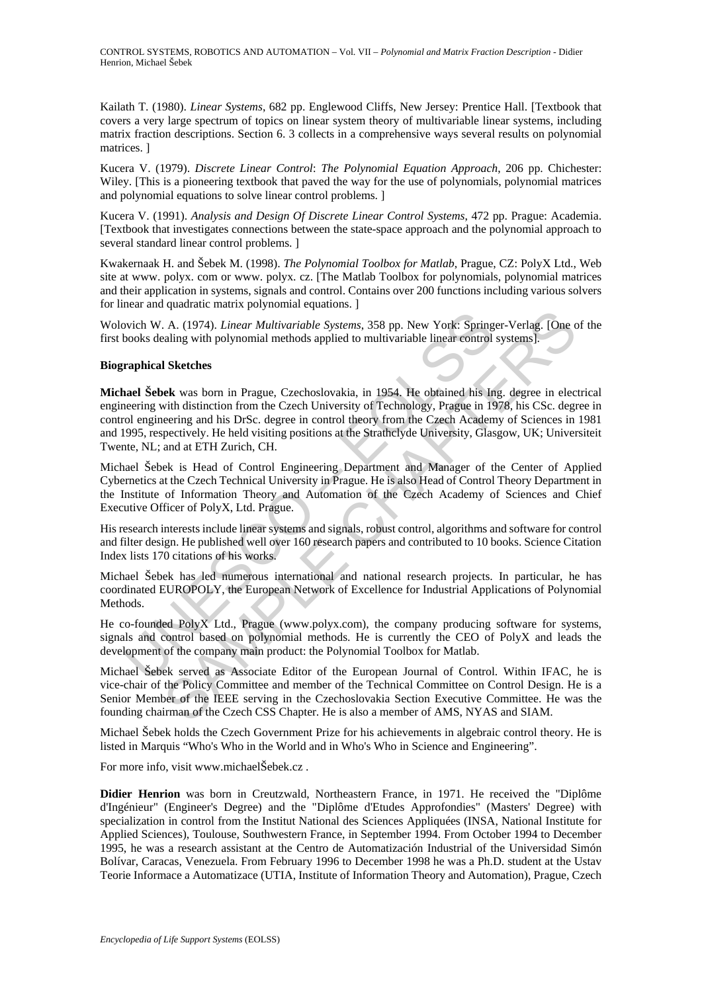Kailath T. (1980). *Linear Systems*, 682 pp. Englewood Cliffs, New Jersey: Prentice Hall. [Textbook that covers a very large spectrum of topics on linear system theory of multivariable linear systems, including matrix fraction descriptions. Section 6. 3 collects in a comprehensive ways several results on polynomial matrices. ]

Kucera V. (1979). *Discrete Linear Control*: *The Polynomial Equation Approach*, 206 pp. Chichester: Wiley. [This is a pioneering textbook that paved the way for the use of polynomials, polynomial matrices and polynomial equations to solve linear control problems. ]

Kucera V. (1991). *Analysis and Design Of Discrete Linear Control Systems*, 472 pp. Prague: Academia. [Textbook that investigates connections between the state-space approach and the polynomial approach to several standard linear control problems. ]

Kwakernaak H. and Šebek M. (1998). *The Polynomial Toolbox for Matlab*, Prague, CZ: PolyX Ltd., Web site at www. polyx. com or www. polyx. cz. [The Matlab Toolbox for polynomials, polynomial matrices and their application in systems, signals and control. Contains over 200 functions including various solvers for linear and quadratic matrix polynomial equations. ]

Wolovich W. A. (1974). *Linear Multivariable Systems*, 358 pp. New York: Springer-Verlag. [One of the first books dealing with polynomial methods applied to multivariable linear control systems].

#### **Biographical Sketches**

byth W. A. (1974). *Linear Multivariable Systems*, 358 pp. New York: Spring<br>books dealing with polynomial methods applied to multivariable linear control<br>**raphical Sketches**<br>**raphical Sketches**<br>**raphical Sketches**<br>**raphica** A. (1974). *Linear Multivariable Systems*, 358 pp. New York: Springer-Verlag. [One caling with polynomial methods applied to multivariable linear control systems].<br> **I Sketches**<br> **example 10** in the Czechoslovskia, in 1954 **Michael Šebek** was born in Prague, Czechoslovakia, in 1954. He obtained his Ing. degree in electrical engineering with distinction from the Czech University of Technology, Prague in 1978, his CSc. degree in control engineering and his DrSc. degree in control theory from the Czech Academy of Sciences in 1981 and 1995, respectively. He held visiting positions at the Strathclyde University, Glasgow, UK; Universiteit Twente, NL; and at ETH Zurich, CH.

Michael Šebek is Head of Control Engineering Department and Manager of the Center of Applied Cybernetics at the Czech Technical University in Prague. He is also Head of Control Theory Department in the Institute of Information Theory and Automation of the Czech Academy of Sciences and Chief Executive Officer of PolyX, Ltd. Prague.

His research interests include linear systems and signals, robust control, algorithms and software for control and filter design. He published well over 160 research papers and contributed to 10 books. Science Citation Index lists 170 citations of his works.

Michael Šebek has led numerous international and national research projects. In particular, he has coordinated EUROPOLY, the European Network of Excellence for Industrial Applications of Polynomial **Methods** 

He co-founded PolyX Ltd., Prague (www.polyx.com), the company producing software for systems, signals and control based on polynomial methods. He is currently the CEO of PolyX and leads the development of the company main product: the Polynomial Toolbox for Matlab.

Michael Šebek served as Associate Editor of the European Journal of Control. Within IFAC, he is vice-chair of the Policy Committee and member of the Technical Committee on Control Design. He is a Senior Member of the IEEE serving in the Czechoslovakia Section Executive Committee. He was the founding chairman of the Czech CSS Chapter. He is also a member of AMS, NYAS and SIAM.

Michael Šebek holds the Czech Government Prize for his achievements in algebraic control theory. He is listed in Marquis "Who's Who in the World and in Who's Who in Science and Engineering".

For more info, visit www.michaelŠebek.cz .

**Didier Henrion** was born in Creutzwald, Northeastern France, in 1971. He received the "Diplôme d'Ingénieur" (Engineer's Degree) and the "Diplôme d'Etudes Approfondies" (Masters' Degree) with specialization in control from the Institut National des Sciences Appliquées (INSA, National Institute for Applied Sciences), Toulouse, Southwestern France, in September 1994. From October 1994 to December 1995, he was a research assistant at the Centro de Automatización Industrial of the Universidad Simón Bolívar, Caracas, Venezuela. From February 1996 to December 1998 he was a Ph.D. student at the Ustav Teorie Informace a Automatizace (UTIA, Institute of Information Theory and Automation), Prague, Czech